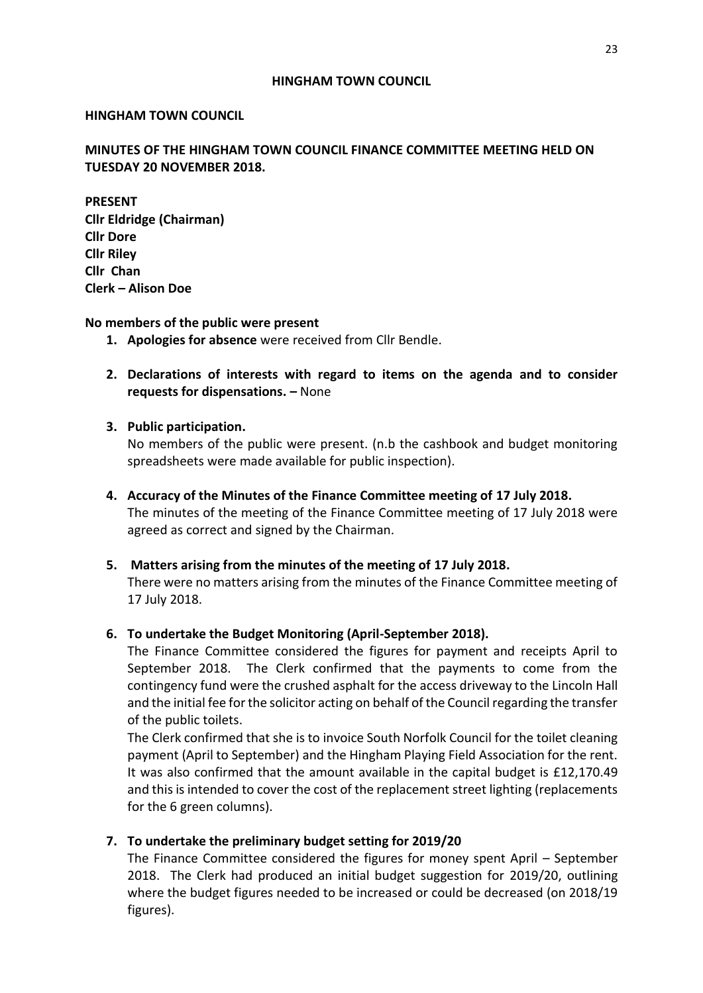#### **HINGHAM TOWN COUNCIL**

#### **HINGHAM TOWN COUNCIL**

# **MINUTES OF THE HINGHAM TOWN COUNCIL FINANCE COMMITTEE MEETING HELD ON TUESDAY 20 NOVEMBER 2018.**

**PRESENT Cllr Eldridge (Chairman) Cllr Dore Cllr Riley Cllr Chan Clerk – Alison Doe**

#### **No members of the public were present**

- **1. Apologies for absence** were received from Cllr Bendle.
- **2. Declarations of interests with regard to items on the agenda and to consider requests for dispensations. –** None

# **3. Public participation.**

No members of the public were present. (n.b the cashbook and budget monitoring spreadsheets were made available for public inspection).

**4. Accuracy of the Minutes of the Finance Committee meeting of 17 July 2018.** The minutes of the meeting of the Finance Committee meeting of 17 July 2018 were agreed as correct and signed by the Chairman.

# **5. Matters arising from the minutes of the meeting of 17 July 2018.**

There were no matters arising from the minutes of the Finance Committee meeting of 17 July 2018.

# **6. To undertake the Budget Monitoring (April-September 2018).**

The Finance Committee considered the figures for payment and receipts April to September 2018. The Clerk confirmed that the payments to come from the contingency fund were the crushed asphalt for the access driveway to the Lincoln Hall and the initial fee for the solicitor acting on behalf of the Council regarding the transfer of the public toilets.

The Clerk confirmed that she is to invoice South Norfolk Council for the toilet cleaning payment (April to September) and the Hingham Playing Field Association for the rent. It was also confirmed that the amount available in the capital budget is £12,170.49 and this is intended to cover the cost of the replacement street lighting (replacements for the 6 green columns).

# **7. To undertake the preliminary budget setting for 2019/20**

The Finance Committee considered the figures for money spent April – September 2018. The Clerk had produced an initial budget suggestion for 2019/20, outlining where the budget figures needed to be increased or could be decreased (on 2018/19 figures).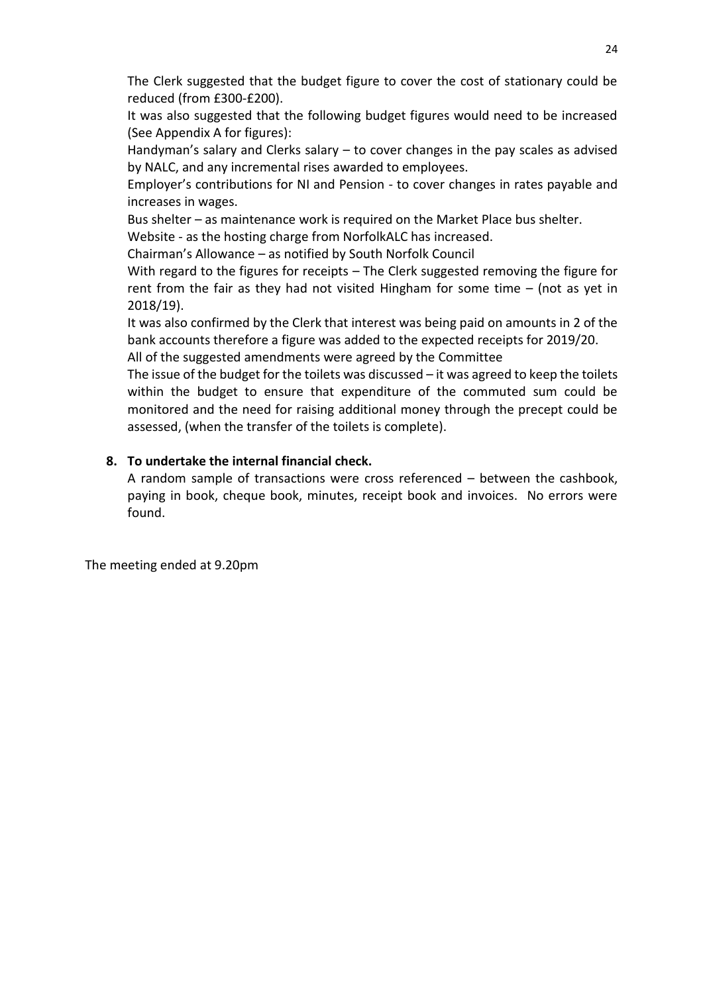The Clerk suggested that the budget figure to cover the cost of stationary could be reduced (from £300-£200).

It was also suggested that the following budget figures would need to be increased (See Appendix A for figures):

Handyman's salary and Clerks salary – to cover changes in the pay scales as advised by NALC, and any incremental rises awarded to employees.

Employer's contributions for NI and Pension - to cover changes in rates payable and increases in wages.

Bus shelter – as maintenance work is required on the Market Place bus shelter.

Website - as the hosting charge from NorfolkALC has increased.

Chairman's Allowance – as notified by South Norfolk Council

With regard to the figures for receipts – The Clerk suggested removing the figure for rent from the fair as they had not visited Hingham for some time – (not as yet in 2018/19).

It was also confirmed by the Clerk that interest was being paid on amounts in 2 of the bank accounts therefore a figure was added to the expected receipts for 2019/20.

All of the suggested amendments were agreed by the Committee

The issue of the budget for the toilets was discussed – it was agreed to keep the toilets within the budget to ensure that expenditure of the commuted sum could be monitored and the need for raising additional money through the precept could be assessed, (when the transfer of the toilets is complete).

# **8. To undertake the internal financial check.**

A random sample of transactions were cross referenced – between the cashbook, paying in book, cheque book, minutes, receipt book and invoices. No errors were found.

The meeting ended at 9.20pm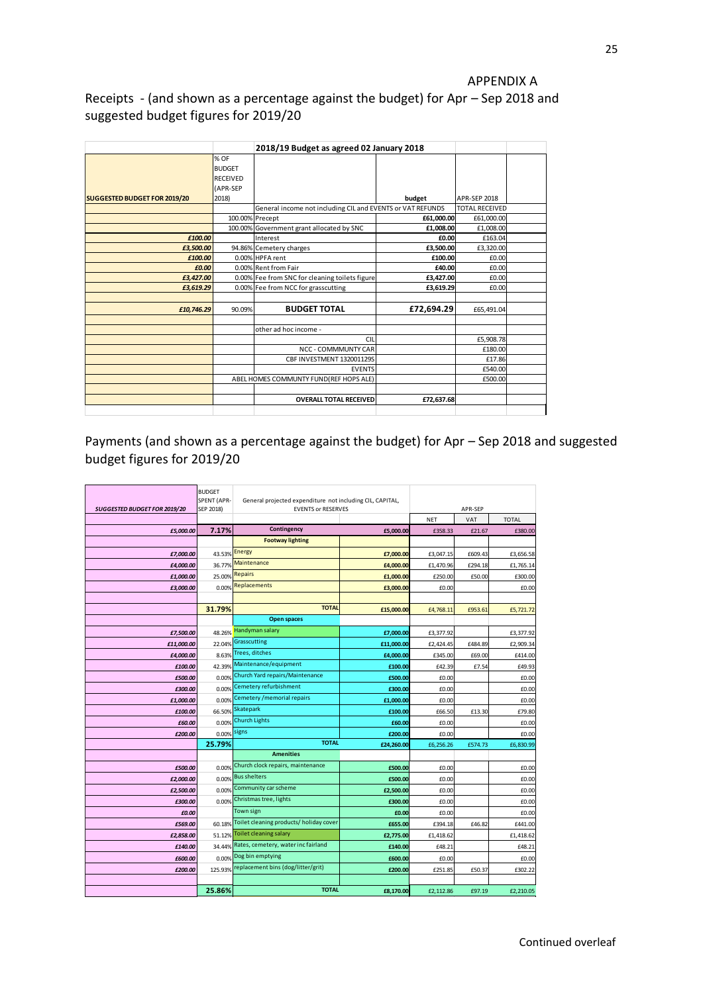#### APPENDIX A

# Receipts - (and shown as a percentage against the budget) for Apr – Sep 2018 and suggested budget figures for 2019/20

|                                     |                 | 2018/19 Budget as agreed 02 January 2018                   |            |                       |  |  |
|-------------------------------------|-----------------|------------------------------------------------------------|------------|-----------------------|--|--|
|                                     | % OF            |                                                            |            |                       |  |  |
|                                     | <b>BUDGET</b>   |                                                            |            |                       |  |  |
|                                     | <b>RECEIVED</b> |                                                            |            |                       |  |  |
|                                     | (APR-SEP        |                                                            |            |                       |  |  |
| <b>SUGGESTED BUDGET FOR 2019/20</b> | 2018)           |                                                            | budget     | <b>APR-SEP 2018</b>   |  |  |
|                                     |                 | General income not including CIL and EVENTS or VAT REFUNDS |            | <b>TOTAL RECEIVED</b> |  |  |
|                                     |                 | 100.00% Precept                                            | £61,000.00 | £61,000.00            |  |  |
|                                     |                 | 100.00% Government grant allocated by SNC                  | £1,008.00  | £1,008.00             |  |  |
| £100.00                             |                 | Interest                                                   | £0.00      | £163.04               |  |  |
| £3,500.00                           |                 | 94.86% Cemetery charges                                    | £3,500.00  | £3,320.00             |  |  |
| £100.00                             |                 | 0.00% HPFA rent                                            | £100.00    | £0.00                 |  |  |
| £0.00                               |                 | 0.00% Rent from Fair                                       | £40.00     | £0.00                 |  |  |
| £3,427.00                           |                 | 0.00% Fee from SNC for cleaning toilets figure             | £3,427.00  | £0.00                 |  |  |
| £3,619.29                           |                 | 0.00% Fee from NCC for grasscutting                        | £3,619.29  | £0.00                 |  |  |
|                                     |                 |                                                            |            |                       |  |  |
| £10,746.29                          | 90.09%          | <b>BUDGET TOTAL</b>                                        | £72,694.29 | £65,491.04            |  |  |
|                                     |                 |                                                            |            |                       |  |  |
|                                     |                 | other ad hoc income -                                      |            |                       |  |  |
|                                     |                 | CIL                                                        |            | £5,908.78             |  |  |
|                                     |                 | NCC - COMMMUNTY CAR                                        |            | £180.00               |  |  |
|                                     |                 | CBF INVESTMENT 132001129S                                  |            | £17.86                |  |  |
|                                     |                 | <b>EVENTS</b>                                              |            | £540.00               |  |  |
|                                     |                 | ABEL HOMES COMMUNTY FUND(REF HOPS ALE)                     |            | £500.00               |  |  |
|                                     |                 |                                                            |            |                       |  |  |
|                                     |                 | <b>OVERALL TOTAL RECEIVED</b>                              | £72,637.68 |                       |  |  |
|                                     |                 |                                                            |            |                       |  |  |

Payments (and shown as a percentage against the budget) for Apr – Sep 2018 and suggested budget figures for 2019/20

| SUGGESTED BUDGET FOR 2019/20 | <b>BUDGET</b><br>SPENT (APR-<br>SEP 2018) | General projected expenditure not including CIL, CAPITAL,<br><b>EVENTS or RESERVES</b> |            | APR-SEP    |         |              |
|------------------------------|-------------------------------------------|----------------------------------------------------------------------------------------|------------|------------|---------|--------------|
|                              |                                           |                                                                                        |            | <b>NET</b> | VAT     | <b>TOTAL</b> |
| £5,000.00                    | 7.17%                                     | Contingency                                                                            | £5,000.00  | £358.33    | £21.67  | £380.00      |
|                              |                                           | <b>Footway lighting</b>                                                                |            |            |         |              |
| £7,000.00                    | 43.53% Energy                             |                                                                                        | £7,000.00  | £3,047.15  | £609.43 | £3,656.58    |
| £4,000.00                    | 36.77%                                    | Maintenance                                                                            | £4,000.00  | £1,470.96  | £294.18 | £1,765.14    |
| £1,000.00                    | 25.00%                                    | Repairs                                                                                | £1,000.00  | £250.00    | £50.00  | £300.00      |
| £3,000.00                    | 0.00%                                     | Replacements                                                                           | £3,000.00  | £0.00      |         | £0.00        |
|                              |                                           |                                                                                        |            |            |         |              |
|                              | 31.79%                                    | <b>TOTAL</b>                                                                           | £15,000.00 | £4,768.11  | £953.61 | £5,721.72    |
|                              |                                           | <b>Open spaces</b>                                                                     |            |            |         |              |
| £7,500.00                    | 48.26%                                    | Handyman salary                                                                        | £7,000.00  | £3,377.92  |         | £3,377.92    |
| £11,000.00                   | 22.04%                                    | Grasscutting                                                                           | £11,000.00 | £2,424.45  | £484.89 | £2,909.34    |
| £4,000.00                    | 8.63%                                     | <b>Trees, ditches</b>                                                                  | £4,000.00  | £345.00    | £69.00  | £414.00      |
| £100.00                      | 42.39%                                    | Maintenance/equipment                                                                  | £100.00    | £42.39     | £7.54   | £49.93       |
| £500.00                      | 0.00%                                     | Church Yard repairs/Maintenance                                                        | £500.00    | £0.00      |         | £0.00        |
| £300.00                      | 0.00%                                     | Cemetery refurbishment                                                                 | £300.00    | £0.00      |         | £0.00        |
| £1,000.00                    | 0.00%                                     | Cemetery / memorial repairs                                                            | £1,000.00  | £0.00      |         | £0.00        |
| £100.00                      | 66.50%                                    | Skatepark                                                                              | £100.00    | £66.50     | £13.30  | £79.80       |
| £60.00                       | 0.00%                                     | Church Lights                                                                          | £60.00     | £0.00      |         | £0.00        |
| £200.00                      | 0.00%                                     | signs                                                                                  | £200.00    | £0.00      |         | £0.00        |
|                              | 25.79%                                    | <b>TOTAL</b>                                                                           | £24,260.00 | £6,256.26  | £574.73 | £6,830.99    |
|                              |                                           | <b>Amenities</b>                                                                       |            |            |         |              |
| £500.00                      | 0.00%                                     | Church clock repairs, maintenance                                                      | £500.00    | £0.00      |         | £0.00        |
| £2.000.00                    | 0.00%                                     | <b>Bus shelters</b>                                                                    | £500.00    | £0.00      |         | £0.00        |
| £2,500.00                    | 0.00%                                     | Community car scheme                                                                   | £2,500.00  | £0.00      |         | £0.00        |
| £300.00                      | 0.00%                                     | Christmas tree, lights                                                                 | £300.00    | £0.00      |         | £0.00        |
| £0.00                        |                                           | Town sign                                                                              | £0.00      | £0.00      |         | £0.00        |
| £569.00                      | 60.18%                                    | Toilet cleaning products/holiday cover                                                 | £655.00    | £394.18    | £46.82  | £441.00      |
| £2,858.00                    | 51.12%                                    | Toilet cleaning salary                                                                 | £2,775.00  | £1,418.62  |         | £1,418.62    |
| £140.00                      | 34.44%                                    | Rates, cemetery, water inc fairland                                                    | £140.00    | £48.21     |         | £48.21       |
| £600.00                      | 0.00%                                     | Dog bin emptying                                                                       | £600.00    | £0.00      |         | £0.00        |
| £200.00                      | 125.93%                                   | replacement bins (dog/litter/grit)                                                     | £200.00    | £251.85    | £50.37  | £302.22      |
|                              |                                           |                                                                                        |            |            |         |              |
|                              | 25.86%                                    | <b>TOTAL</b>                                                                           | £8,170.00  | £2,112.86  | £97.19  | £2,210.05    |